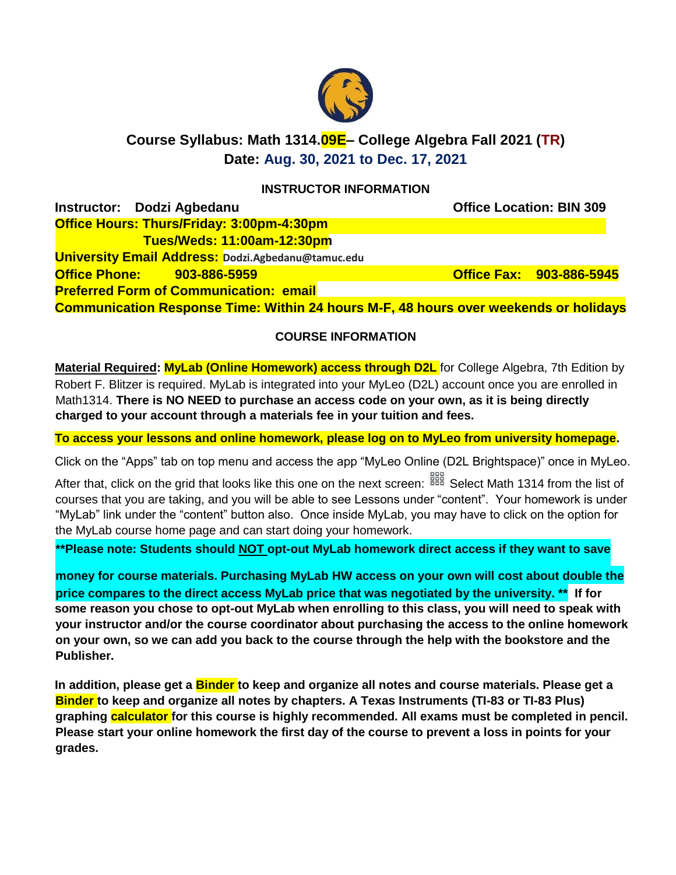

# **Course Syllabus: Math 1314.09E– College Algebra Fall 2021 (TR) Date: Aug. 30, 2021 to Dec. 17, 2021**

### **INSTRUCTOR INFORMATION**

| Instructor: Dodzi Agbedanu                |  |                                                           |  |                                                                                             | <b>Office Location: BIN 309</b> |
|-------------------------------------------|--|-----------------------------------------------------------|--|---------------------------------------------------------------------------------------------|---------------------------------|
| Office Hours: Thurs/Friday: 3:00pm-4:30pm |  |                                                           |  |                                                                                             |                                 |
|                                           |  | <b>Tues/Weds: 11:00am-12:30pm</b>                         |  |                                                                                             |                                 |
|                                           |  | <b>University Email Address: Dodzi.Agbedanu@tamuc.edu</b> |  |                                                                                             |                                 |
| <b>Office Phone: 903-886-5959</b>         |  |                                                           |  |                                                                                             | <b>Office Fax: 903-886-5945</b> |
|                                           |  | <b>Preferred Form of Communication: email</b>             |  |                                                                                             |                                 |
|                                           |  |                                                           |  | <b>Communication Response Time: Within 24 hours M-F, 48 hours over weekends or holidays</b> |                                 |

### **COURSE INFORMATION**

**Material Required: MyLab (Online Homework) access through D2L** for College Algebra, 7th Edition by Robert F. Blitzer is required. MyLab is integrated into your MyLeo (D2L) account once you are enrolled in Math1314. **There is NO NEED to purchase an access code on your own, as it is being directly charged to your account through a materials fee in your tuition and fees.**

**To access your lessons and online homework, please log on to MyLeo from university homepage.**

Click on the "Apps" tab on top menu and access the app "MyLeo Online (D2L Brightspace)" once in MyLeo.

After that, click on the grid that looks like this one on the next screen: <sup>888</sup> Select Math 1314 from the list of courses that you are taking, and you will be able to see Lessons under "content". Your homework is under "MyLab" link under the "content" button also. Once inside MyLab, you may have to click on the option for the MyLab course home page and can start doing your homework.

**\*\*Please note: Students should NOT opt-out MyLab homework direct access if they want to save**

**money for course materials. Purchasing MyLab HW access on your own will cost about double the price compares to the direct access MyLab price that was negotiated by the university. \*\* If for some reason you chose to opt-out MyLab when enrolling to this class, you will need to speak with your instructor and/or the course coordinator about purchasing the access to the online homework on your own, so we can add you back to the course through the help with the bookstore and the Publisher.**

**In addition, please get a Binder to keep and organize all notes and course materials. Please get a Binder to keep and organize all notes by chapters. A Texas Instruments (TI-83 or TI-83 Plus) graphing calculator for this course is highly recommended. All exams must be completed in pencil. Please start your online homework the first day of the course to prevent a loss in points for your grades.**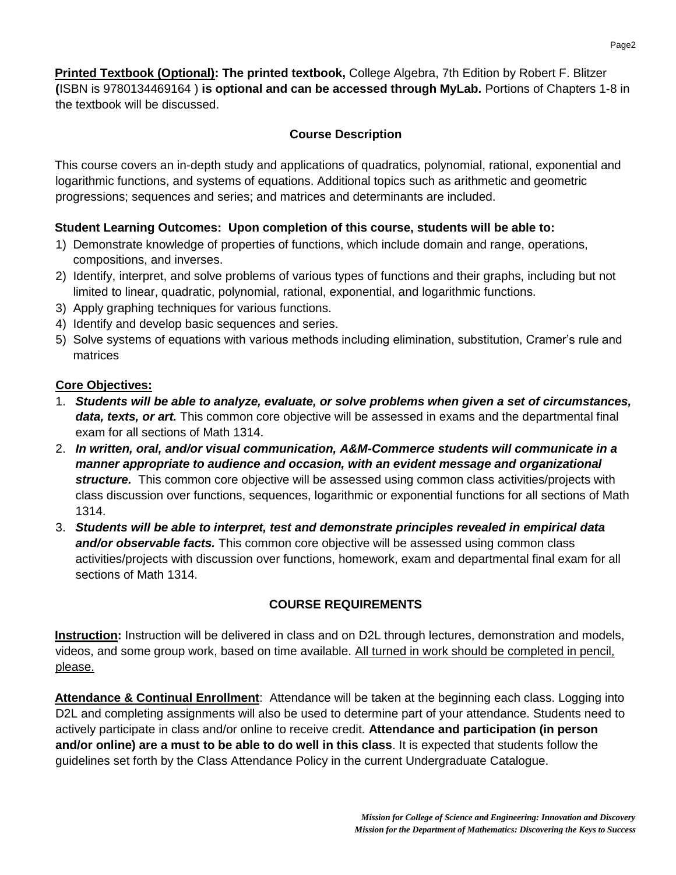**Printed Textbook (Optional): The printed textbook,** College Algebra, 7th Edition by Robert F. Blitzer **(**ISBN is 9780134469164 ) **is optional and can be accessed through MyLab.** Portions of Chapters 1-8 in the textbook will be discussed.

# **Course Description**

This course covers an in-depth study and applications of quadratics, polynomial, rational, exponential and logarithmic functions, and systems of equations. Additional topics such as arithmetic and geometric progressions; sequences and series; and matrices and determinants are included.

# **Student Learning Outcomes: Upon completion of this course, students will be able to:**

- 1) Demonstrate knowledge of properties of functions, which include domain and range, operations, compositions, and inverses.
- 2) Identify, interpret, and solve problems of various types of functions and their graphs, including but not limited to linear, quadratic, polynomial, rational, exponential, and logarithmic functions.
- 3) Apply graphing techniques for various functions.
- 4) Identify and develop basic sequences and series.
- 5) Solve systems of equations with various methods including elimination, substitution, Cramer's rule and matrices

### **Core Objectives:**

- 1. *Students will be able to analyze, evaluate, or solve problems when given a set of circumstances, data, texts, or art.* This common core objective will be assessed in exams and the departmental final exam for all sections of Math 1314.
- 2. *In written, oral, and/or visual communication, A&M-Commerce students will communicate in a manner appropriate to audience and occasion, with an evident message and organizational structure.* This common core objective will be assessed using common class activities/projects with class discussion over functions, sequences, logarithmic or exponential functions for all sections of Math 1314.
- 3. *Students will be able to interpret, test and demonstrate principles revealed in empirical data and/or observable facts.* This common core objective will be assessed using common class activities/projects with discussion over functions, homework, exam and departmental final exam for all sections of Math 1314.

# **COURSE REQUIREMENTS**

**Instruction:** Instruction will be delivered in class and on D2L through lectures, demonstration and models, videos, and some group work, based on time available. All turned in work should be completed in pencil, please.

**Attendance & Continual Enrollment**: Attendance will be taken at the beginning each class. Logging into D2L and completing assignments will also be used to determine part of your attendance. Students need to actively participate in class and/or online to receive credit. **Attendance and participation (in person and/or online) are a must to be able to do well in this class**. It is expected that students follow the guidelines set forth by the Class Attendance Policy in the current Undergraduate Catalogue.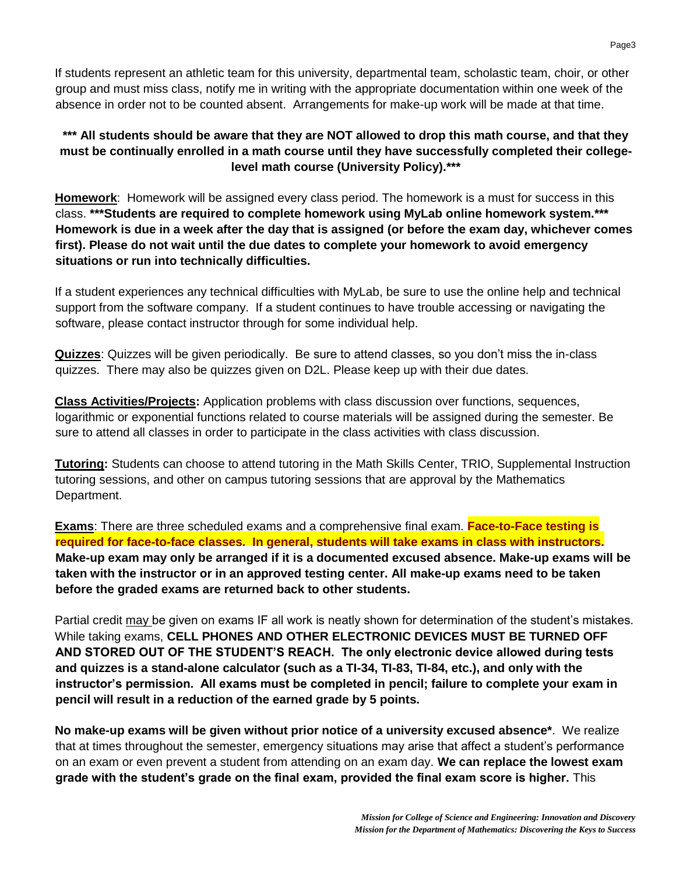If students represent an athletic team for this university, departmental team, scholastic team, choir, or other group and must miss class, notify me in writing with the appropriate documentation within one week of the absence in order not to be counted absent. Arrangements for make-up work will be made at that time.

### **\*\*\* All students should be aware that they are NOT allowed to drop this math course, and that they must be continually enrolled in a math course until they have successfully completed their collegelevel math course (University Policy).\*\*\***

**Homework**: Homework will be assigned every class period. The homework is a must for success in this class. **\*\*\*Students are required to complete homework using MyLab online homework system.\*\*\* Homework is due in a week after the day that is assigned (or before the exam day, whichever comes first). Please do not wait until the due dates to complete your homework to avoid emergency situations or run into technically difficulties.**

If a student experiences any technical difficulties with MyLab, be sure to use the online help and technical support from the software company. If a student continues to have trouble accessing or navigating the software, please contact instructor through for some individual help.

**Quizzes**: Quizzes will be given periodically. Be sure to attend classes, so you don't miss the in-class quizzes. There may also be quizzes given on D2L. Please keep up with their due dates.

**Class Activities/Projects:** Application problems with class discussion over functions, sequences, logarithmic or exponential functions related to course materials will be assigned during the semester. Be sure to attend all classes in order to participate in the class activities with class discussion.

**Tutoring:** Students can choose to attend tutoring in the Math Skills Center, TRIO, Supplemental Instruction tutoring sessions, and other on campus tutoring sessions that are approval by the Mathematics Department.

**Exams**: There are three scheduled exams and a comprehensive final exam. **Face-to-Face testing is required for face-to-face classes. In general, students will take exams in class with instructors. Make-up exam may only be arranged if it is a documented excused absence. Make-up exams will be taken with the instructor or in an approved testing center. All make-up exams need to be taken before the graded exams are returned back to other students.**

Partial credit may be given on exams IF all work is neatly shown for determination of the student's mistakes. While taking exams, **CELL PHONES AND OTHER ELECTRONIC DEVICES MUST BE TURNED OFF AND STORED OUT OF THE STUDENT'S REACH. The only electronic device allowed during tests and quizzes is a stand-alone calculator (such as a TI-34, TI-83, TI-84, etc.), and only with the instructor's permission. All exams must be completed in pencil; failure to complete your exam in pencil will result in a reduction of the earned grade by 5 points.**

**No make-up exams will be given without prior notice of a university excused absence\***. We realize that at times throughout the semester, emergency situations may arise that affect a student's performance on an exam or even prevent a student from attending on an exam day. **We can replace the lowest exam grade with the student's grade on the final exam, provided the final exam score is higher.** This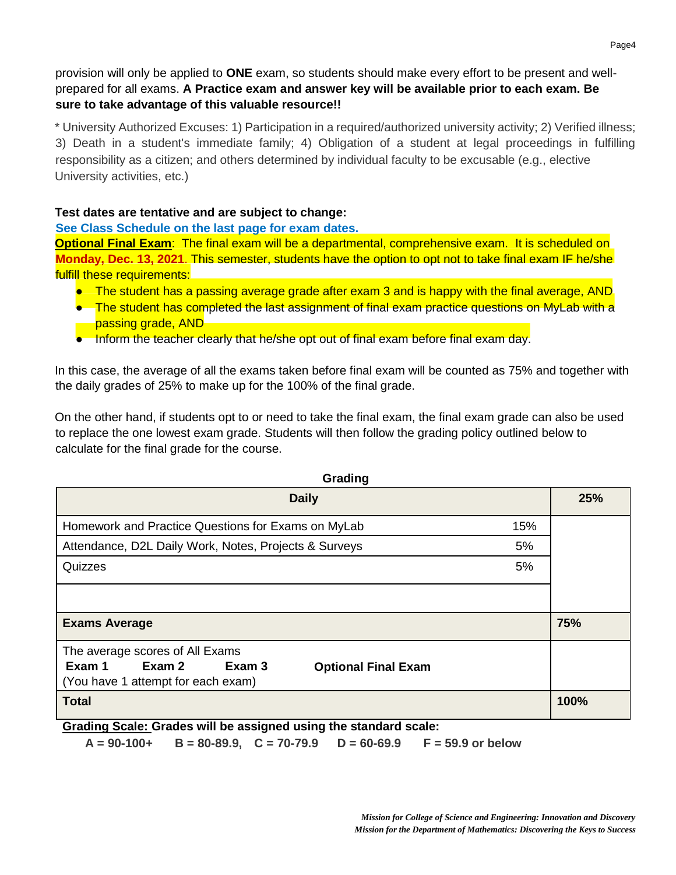provision will only be applied to **ONE** exam, so students should make every effort to be present and wellprepared for all exams. **A Practice exam and answer key will be available prior to each exam. Be sure to take advantage of this valuable resource!!**

\* University Authorized Excuses: 1) Participation in a required/authorized university activity; 2) Verified illness; 3) Death in a student's immediate family; 4) Obligation of a student at legal proceedings in fulfilling responsibility as a citizen; and others determined by individual faculty to be excusable (e.g., elective University activities, etc.)

### **Test dates are tentative and are subject to change:**

#### **See Class Schedule on the last page for exam dates.**

**Optional Final Exam:** The final exam will be a departmental, comprehensive exam. It is scheduled on **Monday, Dec. 13, 2021**. This semester, students have the option to opt not to take final exam IF he/she fulfill these requirements:

- The student has a passing average grade after exam 3 and is happy with the final average, AND
- The student has completed the last assignment of final exam practice questions on MyLab with a **Passing grade, AND**
- Inform the teacher clearly that he/she opt out of final exam before final exam day.

In this case, the average of all the exams taken before final exam will be counted as 75% and together with the daily grades of 25% to make up for the 100% of the final grade.

On the other hand, if students opt to or need to take the final exam, the final exam grade can also be used to replace the one lowest exam grade. Students will then follow the grading policy outlined below to calculate for the final grade for the course.

| Grading                                                                                                                           |      |  |  |  |  |
|-----------------------------------------------------------------------------------------------------------------------------------|------|--|--|--|--|
| <b>Daily</b>                                                                                                                      | 25%  |  |  |  |  |
| Homework and Practice Questions for Exams on MyLab<br>15%                                                                         |      |  |  |  |  |
| Attendance, D2L Daily Work, Notes, Projects & Surveys<br>5%                                                                       |      |  |  |  |  |
| Quizzes<br>5%                                                                                                                     |      |  |  |  |  |
|                                                                                                                                   |      |  |  |  |  |
| <b>Exams Average</b>                                                                                                              | 75%  |  |  |  |  |
| The average scores of All Exams<br>Exam 3<br>Exam 1<br>Exam 2<br><b>Optional Final Exam</b><br>(You have 1 attempt for each exam) |      |  |  |  |  |
| <b>Total</b>                                                                                                                      | 100% |  |  |  |  |

**Grading Scale: Grades will be assigned using the standard scale:**

**A = 90-100+ B = 80-89.9, C = 70-79.9 D = 60-69.9 F = 59.9 or below**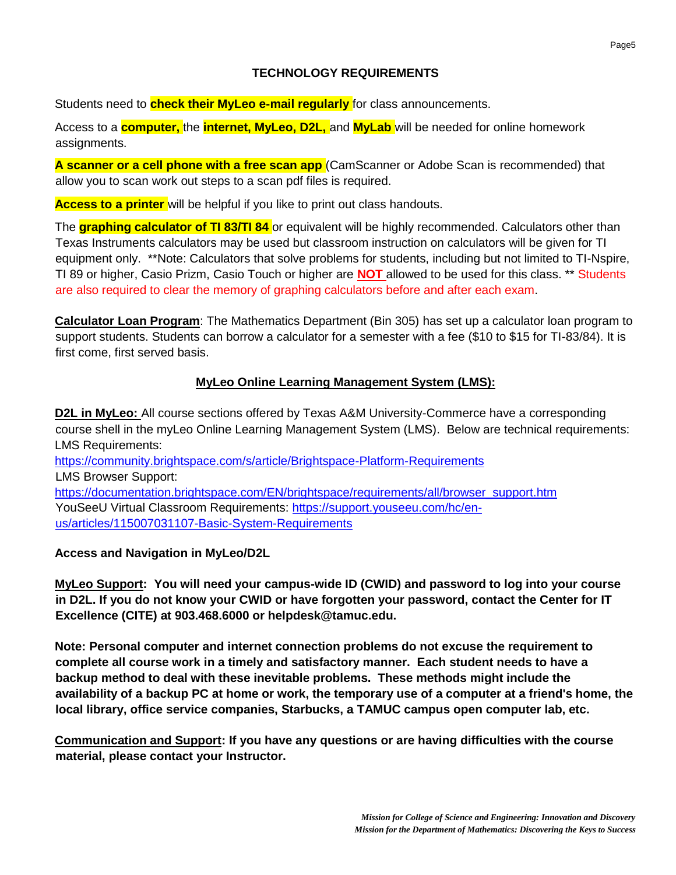### **TECHNOLOGY REQUIREMENTS**

Students need to **check their MyLeo e-mail regularly** for class announcements.

Access to a **computer,** the **internet, MyLeo, D2L,** and **MyLab** will be needed for online homework assignments.

**A scanner or a cell phone with a free scan app** (CamScanner or Adobe Scan is recommended) that allow you to scan work out steps to a scan pdf files is required.

**Access to a printer** will be helpful if you like to print out class handouts.

The **graphing calculator of TI 83/TI 84** or equivalent will be highly recommended. Calculators other than Texas Instruments calculators may be used but classroom instruction on calculators will be given for TI equipment only. \*\*Note: Calculators that solve problems for students, including but not limited to TI-Nspire, TI 89 or higher, Casio Prizm, Casio Touch or higher are **NOT** allowed to be used for this class. \*\* Students are also required to clear the memory of graphing calculators before and after each exam.

**Calculator Loan Program**: The Mathematics Department (Bin 305) has set up a calculator loan program to support students. Students can borrow a calculator for a semester with a fee (\$10 to \$15 for TI-83/84). It is first come, first served basis.

### **MyLeo Online Learning Management System (LMS):**

**D2L in MyLeo:** All course sections offered by Texas A&M University-Commerce have a corresponding course shell in the myLeo Online Learning Management System (LMS). Below are technical requirements: LMS Requirements:

<https://community.brightspace.com/s/article/Brightspace-Platform-Requirements> LMS Browser Support: [https://documentation.brightspace.com/EN/brightspace/requirements/all/browser\\_support.htm](https://documentation.brightspace.com/EN/brightspace/requirements/all/browser_support.htm)  YouSeeU Virtual Classroom Requirements: [https://support.youseeu.com/hc/en](https://support.youseeu.com/hc/en-us/articles/115007031107-Basic-System-Requirements)[us/articles/115007031107-Basic-System-Requirements](https://support.youseeu.com/hc/en-us/articles/115007031107-Basic-System-Requirements)

**Access and Navigation in MyLeo/D2L**

**MyLeo Support: You will need your campus-wide ID (CWID) and password to log into your course in D2L. If you do not know your CWID or have forgotten your password, contact the Center for IT Excellence (CITE) at 903.468.6000 or helpdesk@tamuc.edu.**

**Note: Personal computer and internet connection problems do not excuse the requirement to complete all course work in a timely and satisfactory manner. Each student needs to have a backup method to deal with these inevitable problems. These methods might include the availability of a backup PC at home or work, the temporary use of a computer at a friend's home, the local library, office service companies, Starbucks, a TAMUC campus open computer lab, etc.**

**Communication and Support: If you have any questions or are having difficulties with the course material, please contact your Instructor.**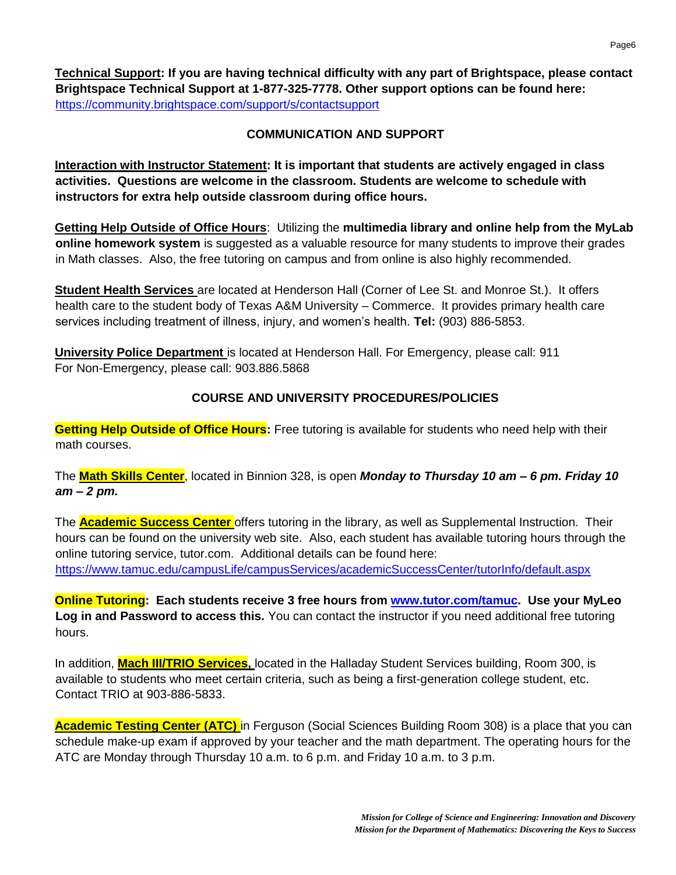**Technical Support: If you are having technical difficulty with any part of Brightspace, please contact Brightspace Technical Support at 1-877-325-7778. Other support options can be found here:**  <https://community.brightspace.com/support/s/contactsupport>

### **COMMUNICATION AND SUPPORT**

**Interaction with Instructor Statement: It is important that students are actively engaged in class activities. Questions are welcome in the classroom. Students are welcome to schedule with instructors for extra help outside classroom during office hours.**

**Getting Help Outside of Office Hours**: Utilizing the **multimedia library and online help from the MyLab online homework system** is suggested as a valuable resource for many students to improve their grades in Math classes. Also, the free tutoring on campus and from online is also highly recommended.

**Student Health Services** are located at Henderson Hall (Corner of Lee St. and Monroe St.). It offers health care to the student body of Texas A&M University – Commerce. It provides primary health care services including treatment of illness, injury, and women's health. **Tel:** (903) 886-5853.

**University Police Department** is located at Henderson Hall. For Emergency, please call: 911 For Non-Emergency, please call: 903.886.5868

### **COURSE AND UNIVERSITY PROCEDURES/POLICIES**

**Getting Help Outside of Office Hours:** Free tutoring is available for students who need help with their math courses.

The **Math Skills Center**, located in Binnion 328, is open *Monday to Thursday 10 am – 6 pm. Friday 10 am – 2 pm.*

The **Academic Success Center** offers tutoring in the library, as well as Supplemental Instruction. Their hours can be found on the university web site. Also, each student has available tutoring hours through the online tutoring service, tutor.com. Additional details can be found here: <https://www.tamuc.edu/campusLife/campusServices/academicSuccessCenter/tutorInfo/default.aspx>

**Online Tutoring: Each students receive 3 free hours from [www.tutor.com/tamuc.](http://www.tutor.com/tamuc) Use your MyLeo Log in and Password to access this.** You can contact the instructor if you need additional free tutoring hours.

In addition, **Mach III/TRIO Services,** located in the Halladay Student Services building, Room 300, is available to students who meet certain criteria, such as being a first-generation college student, etc. Contact TRIO at 903-886-5833.

**Academic Testing Center (ATC)** in Ferguson (Social Sciences Building Room 308) is a place that you can schedule make-up exam if approved by your teacher and the math department. The operating hours for the ATC are Monday through Thursday 10 a.m. to 6 p.m. and Friday 10 a.m. to 3 p.m.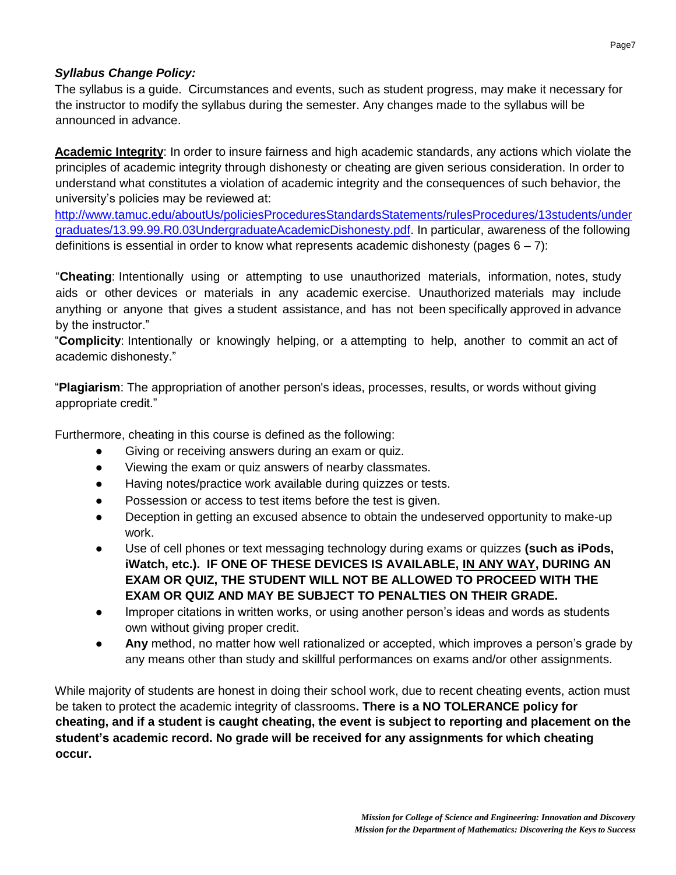### *Syllabus Change Policy:*

The syllabus is a guide. Circumstances and events, such as student progress, may make it necessary for the instructor to modify the syllabus during the semester. Any changes made to the syllabus will be announced in advance.

**Academic Integrity**: In order to insure fairness and high academic standards, any actions which violate the principles of academic integrity through dishonesty or cheating are given serious consideration. In order to understand what constitutes a violation of academic integrity and the consequences of such behavior, the university's policies may be reviewed at:

[http://www.tamuc.edu/aboutUs/policiesProceduresStandardsStatements/rulesProcedures/13students/under](http://www.tamuc.edu/aboutUs/policiesProceduresStandardsStatements/rulesProcedures/13students/undergraduates/13.99.99.R0.03UndergraduateAcademicDishonesty.pdf)  [graduates/13.99.99.R0.03UndergraduateAcademicDishonesty.pdf.](http://www.tamuc.edu/aboutUs/policiesProceduresStandardsStatements/rulesProcedures/13students/undergraduates/13.99.99.R0.03UndergraduateAcademicDishonesty.pdf) In particular, awareness of the following definitions is essential in order to know what represents academic dishonesty (pages  $6 - 7$ ):

"**Cheating**: Intentionally using or attempting to use unauthorized materials, information, notes, study aids or other devices or materials in any academic exercise. Unauthorized materials may include anything or anyone that gives a student assistance, and has not been specifically approved in advance by the instructor."

"**Complicity**: Intentionally or knowingly helping, or a attempting to help, another to commit an act of academic dishonesty."

"**Plagiarism**: The appropriation of another person's ideas, processes, results, or words without giving appropriate credit."

Furthermore, cheating in this course is defined as the following:

- Giving or receiving answers during an exam or quiz.
- Viewing the exam or quiz answers of nearby classmates.
- Having notes/practice work available during quizzes or tests.
- Possession or access to test items before the test is given.
- Deception in getting an excused absence to obtain the undeserved opportunity to make-up work.
- Use of cell phones or text messaging technology during exams or quizzes (such as iPods, **iWatch, etc.). IF ONE OF THESE DEVICES IS AVAILABLE, IN ANY WAY, DURING AN EXAM OR QUIZ, THE STUDENT WILL NOT BE ALLOWED TO PROCEED WITH THE EXAM OR QUIZ AND MAY BE SUBJECT TO PENALTIES ON THEIR GRADE.**
- Improper citations in written works, or using another person's ideas and words as students own without giving proper credit.
- Any method, no matter how well rationalized or accepted, which improves a person's grade by any means other than study and skillful performances on exams and/or other assignments.

While majority of students are honest in doing their school work, due to recent cheating events, action must be taken to protect the academic integrity of classrooms**. There is a NO TOLERANCE policy for cheating, and if a student is caught cheating, the event is subject to reporting and placement on the student's academic record. No grade will be received for any assignments for which cheating occur.**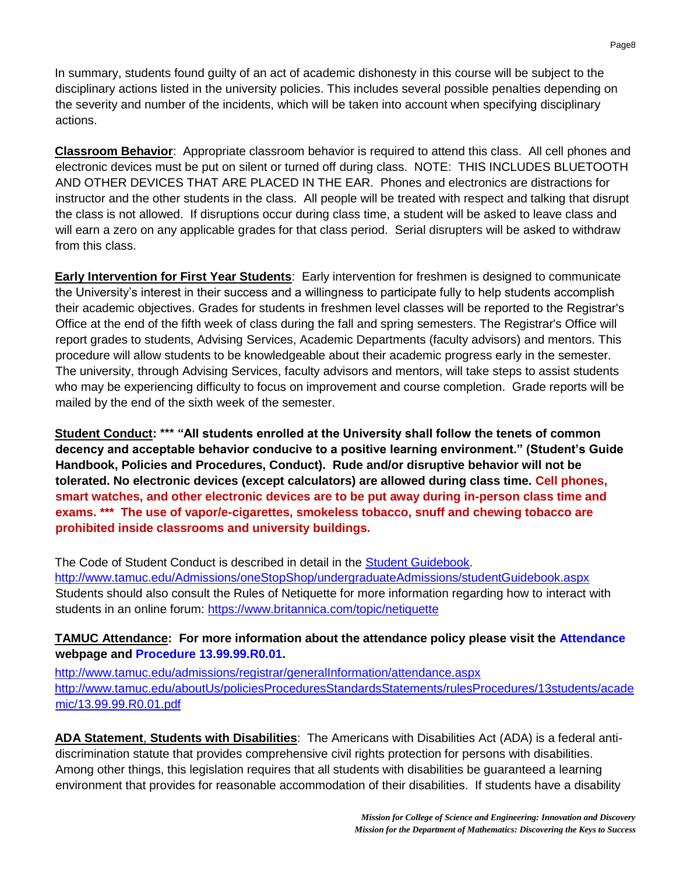In summary, students found guilty of an act of academic dishonesty in this course will be subject to the disciplinary actions listed in the university policies. This includes several possible penalties depending on the severity and number of the incidents, which will be taken into account when specifying disciplinary actions.

**Classroom Behavior**: Appropriate classroom behavior is required to attend this class. All cell phones and electronic devices must be put on silent or turned off during class. NOTE: THIS INCLUDES BLUETOOTH AND OTHER DEVICES THAT ARE PLACED IN THE EAR. Phones and electronics are distractions for instructor and the other students in the class. All people will be treated with respect and talking that disrupt the class is not allowed. If disruptions occur during class time, a student will be asked to leave class and will earn a zero on any applicable grades for that class period. Serial disrupters will be asked to withdraw from this class.

**Early Intervention for First Year Students**: Early intervention for freshmen is designed to communicate the University's interest in their success and a willingness to participate fully to help students accomplish their academic objectives. Grades for students in freshmen level classes will be reported to the Registrar's Office at the end of the fifth week of class during the fall and spring semesters. The Registrar's Office will report grades to students, Advising Services, Academic Departments (faculty advisors) and mentors. This procedure will allow students to be knowledgeable about their academic progress early in the semester. The university, through Advising Services, faculty advisors and mentors, will take steps to assist students who may be experiencing difficulty to focus on improvement and course completion. Grade reports will be mailed by the end of the sixth week of the semester.

**Student Conduct: \*\*\* "All students enrolled at the University shall follow the tenets of common decency and acceptable behavior conducive to a positive learning environment." (Student's Guide Handbook, Policies and Procedures, Conduct). Rude and/or disruptive behavior will not be tolerated. No electronic devices (except calculators) are allowed during class time. Cell phones, smart watches, and other electronic devices are to be put away during in-person class time and exams. \*\*\* The use of vapor/e-cigarettes, smokeless tobacco, snuff and chewing tobacco are prohibited inside classrooms and university buildings.**

The Code of Student Conduct is described in detail in the [Student Guidebook.](http://www.tamuc.edu/Admissions/oneStopShop/undergraduateAdmissions/studentGuidebook.aspx) <http://www.tamuc.edu/Admissions/oneStopShop/undergraduateAdmissions/studentGuidebook.aspx> Students should also consult the Rules of Netiquette for more information regarding how to interact with students in an online forum:<https://www.britannica.com/topic/netiquette>

### **TAMUC Attendance: For more information about the attendance policy please visit the [Attendance](http://www.tamuc.edu/admissions/registrar/generalInformation/attendance.aspx)  webpage and [Procedure 13.99.99.R0.01.](http://www.tamuc.edu/aboutUs/policiesProceduresStandardsStatements/rulesProcedures/13students/academic/13.99.99.R0.01.pdf)**

<http://www.tamuc.edu/admissions/registrar/generalInformation/attendance.aspx> [http://www.tamuc.edu/aboutUs/policiesProceduresStandardsStatements/rulesProcedures/13students/acade](http://www.tamuc.edu/aboutUs/policiesProceduresStandardsStatements/rulesProcedures/13students/academic/13.99.99.R0.01.pdf)  [mic/13.99.99.R0.01.pdf](http://www.tamuc.edu/aboutUs/policiesProceduresStandardsStatements/rulesProcedures/13students/academic/13.99.99.R0.01.pdf)

**ADA Statement**, **Students with Disabilities**: The Americans with Disabilities Act (ADA) is a federal antidiscrimination statute that provides comprehensive civil rights protection for persons with disabilities. Among other things, this legislation requires that all students with disabilities be guaranteed a learning environment that provides for reasonable accommodation of their disabilities. If students have a disability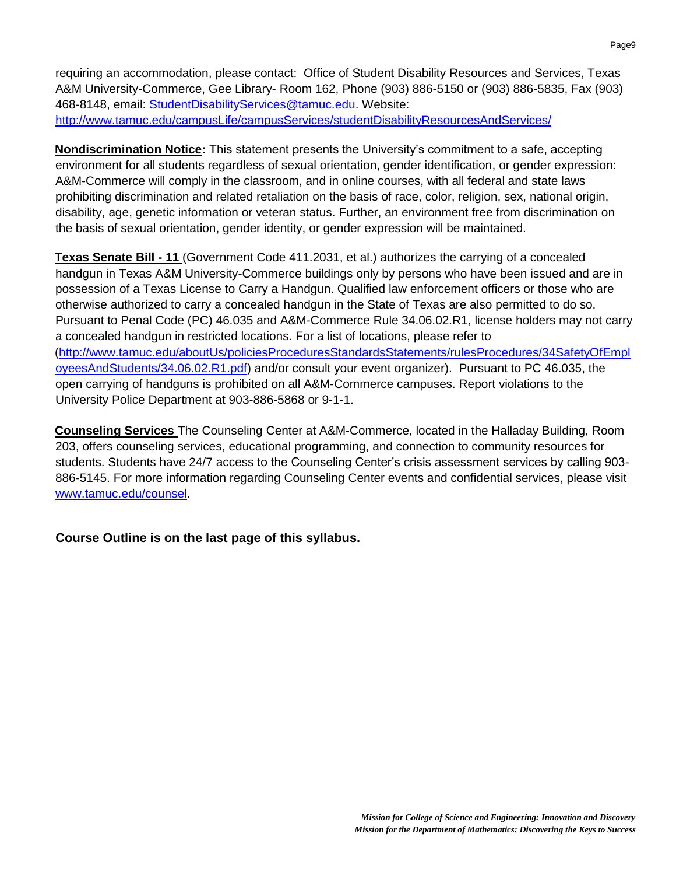requiring an accommodation, please contact: Office of Student Disability Resources and Services, Texas A&M University-Commerce, Gee Library- Room 162, Phone (903) 886-5150 or (903) 886-5835, Fax (903) 468-8148, email: StudentDisabilityServices@tamuc.edu. Website: <http://www.tamuc.edu/campusLife/campusServices/studentDisabilityResourcesAndServices/>

**Nondiscrimination Notice:** This statement presents the University's commitment to a safe, accepting environment for all students regardless of sexual orientation, gender identification, or gender expression: A&M-Commerce will comply in the classroom, and in online courses, with all federal and state laws prohibiting discrimination and related retaliation on the basis of race, color, religion, sex, national origin, disability, age, genetic information or veteran status. Further, an environment free from discrimination on the basis of sexual orientation, gender identity, or gender expression will be maintained.

**Texas Senate Bill - 11** (Government Code 411.2031, et al.) authorizes the carrying of a concealed handgun in Texas A&M University-Commerce buildings only by persons who have been issued and are in possession of a Texas License to Carry a Handgun. Qualified law enforcement officers or those who are otherwise authorized to carry a concealed handgun in the State of Texas are also permitted to do so. Pursuant to Penal Code (PC) 46.035 and A&M-Commerce Rule 34.06.02.R1, license holders may not carry a concealed handgun in restricted locations. For a list of locations, please refer to [\(http://www.tamuc.edu/aboutUs/policiesProceduresStandardsStatements/rulesProcedures/34SafetyOfEmpl](http://www.tamuc.edu/aboutUs/policiesProceduresStandardsStatements/rulesProcedures/34SafetyOfEmployeesAndStudents/34.06.02.R1.pdf)  [oyeesAndStudents/34.06.02.R1.pdf\)](http://www.tamuc.edu/aboutUs/policiesProceduresStandardsStatements/rulesProcedures/34SafetyOfEmployeesAndStudents/34.06.02.R1.pdf) and/or consult your event organizer). Pursuant to PC 46.035, the open carrying of handguns is prohibited on all A&M-Commerce campuses. Report violations to the University Police Department at 903-886-5868 or 9-1-1.

**Counseling Services** The Counseling Center at A&M-Commerce, located in the Halladay Building, Room 203, offers counseling services, educational programming, and connection to community resources for students. Students have 24/7 access to the Counseling Center's crisis assessment services by calling 903- 886-5145. For more information regarding Counseling Center events and confidential services, please visit [www.tamuc.edu/counsel.](http://www.tamuc.edu/counsel)

**Course Outline is on the last page of this syllabus.**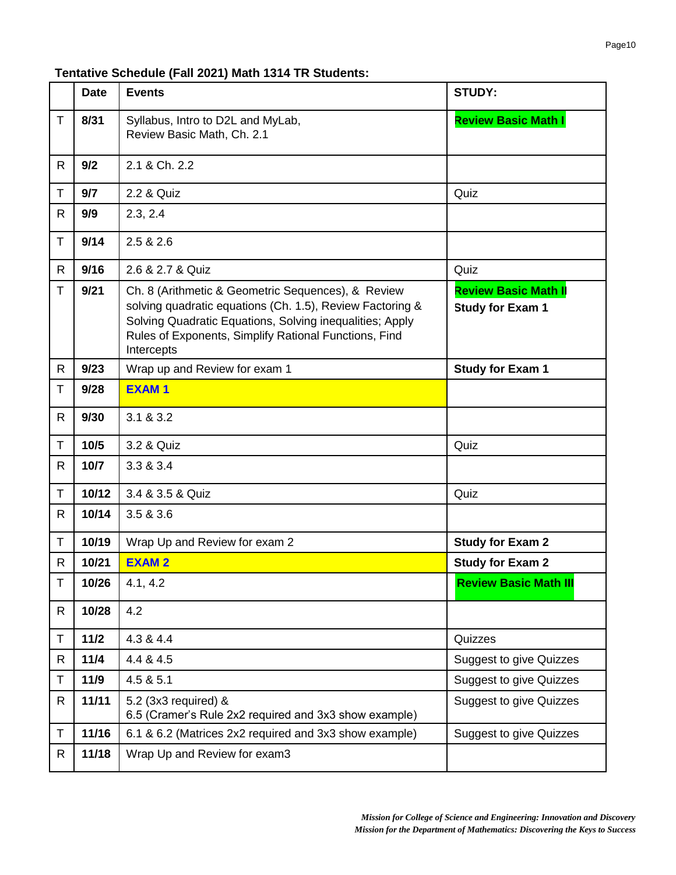### **Tentative Schedule (Fall 2021) Math 1314 TR Students:**

|              | <b>Date</b> | <b>Events</b>                                                                                                                                                                                                                                      | <b>STUDY:</b>                                          |
|--------------|-------------|----------------------------------------------------------------------------------------------------------------------------------------------------------------------------------------------------------------------------------------------------|--------------------------------------------------------|
| T.           | 8/31        | Syllabus, Intro to D2L and MyLab,<br>Review Basic Math, Ch. 2.1                                                                                                                                                                                    | <b>Review Basic Math I</b>                             |
| $\mathsf{R}$ | 9/2         | 2.1 & Ch. 2.2                                                                                                                                                                                                                                      |                                                        |
| T.           | 9/7         | 2.2 & Quiz                                                                                                                                                                                                                                         | Quiz                                                   |
| R            | 9/9         | 2.3, 2.4                                                                                                                                                                                                                                           |                                                        |
| T            | 9/14        | 2.5 & 2.6                                                                                                                                                                                                                                          |                                                        |
| R            | 9/16        | 2.6 & 2.7 & Quiz                                                                                                                                                                                                                                   | Quiz                                                   |
| T            | 9/21        | Ch. 8 (Arithmetic & Geometric Sequences), & Review<br>solving quadratic equations (Ch. 1.5), Review Factoring &<br>Solving Quadratic Equations, Solving inequalities; Apply<br>Rules of Exponents, Simplify Rational Functions, Find<br>Intercepts | <b>Review Basic Math II</b><br><b>Study for Exam 1</b> |
| R            | 9/23        | Wrap up and Review for exam 1                                                                                                                                                                                                                      | <b>Study for Exam 1</b>                                |
| T.           | 9/28        | <b>EXAM1</b>                                                                                                                                                                                                                                       |                                                        |
| $\mathsf{R}$ | 9/30        | 3.1 & 3.2                                                                                                                                                                                                                                          |                                                        |
| T.           | 10/5        | 3.2 & Quiz                                                                                                                                                                                                                                         | Quiz                                                   |
| R            | 10/7        | 3.3 & 3.4                                                                                                                                                                                                                                          |                                                        |
| T            | 10/12       | 3.4 & 3.5 & Quiz                                                                                                                                                                                                                                   | Quiz                                                   |
| R.           | 10/14       | 3.5 & 3.6                                                                                                                                                                                                                                          |                                                        |
| T            | 10/19       | Wrap Up and Review for exam 2                                                                                                                                                                                                                      | <b>Study for Exam 2</b>                                |
| R.           | 10/21       | <b>EXAM2</b>                                                                                                                                                                                                                                       | <b>Study for Exam 2</b>                                |
| Τ            | 10/26       | 4.1, 4.2                                                                                                                                                                                                                                           | <b>Review Basic Math III</b>                           |
| R            | 10/28       | 4.2                                                                                                                                                                                                                                                |                                                        |
| T            | 11/2        | 4.3 & 4.4                                                                                                                                                                                                                                          | Quizzes                                                |
| R            | 11/4        | 4.4 & 4.5                                                                                                                                                                                                                                          | <b>Suggest to give Quizzes</b>                         |
| T.           | 11/9        | 4.5 & 5.1                                                                                                                                                                                                                                          | <b>Suggest to give Quizzes</b>                         |
| R            | 11/11       | 5.2 (3x3 required) &<br>6.5 (Cramer's Rule 2x2 required and 3x3 show example)                                                                                                                                                                      | Suggest to give Quizzes                                |
| T.           | 11/16       | 6.1 & 6.2 (Matrices 2x2 required and 3x3 show example)                                                                                                                                                                                             | <b>Suggest to give Quizzes</b>                         |
| R            | 11/18       | Wrap Up and Review for exam3                                                                                                                                                                                                                       |                                                        |